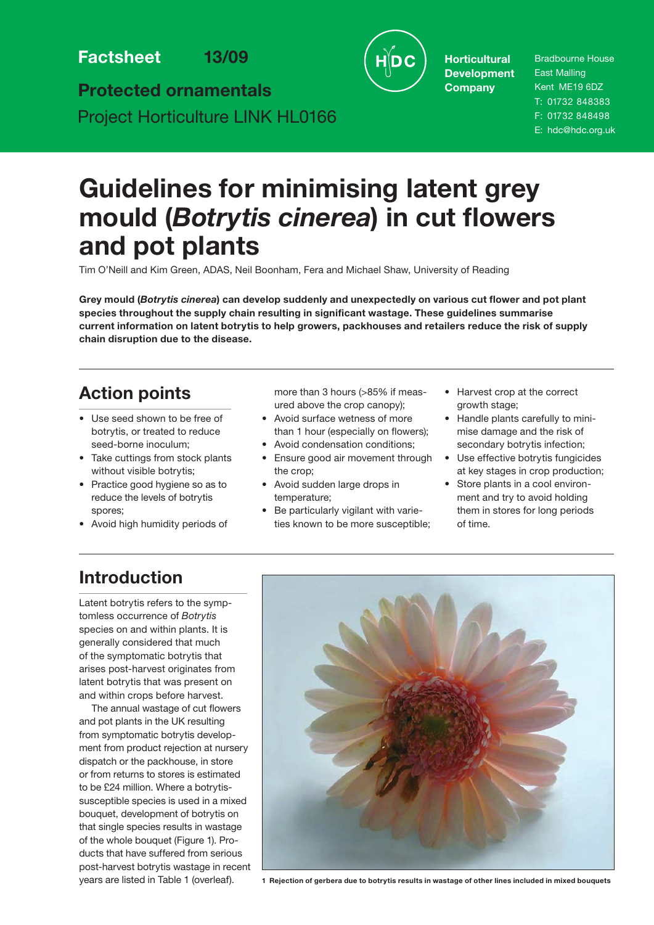**Factsheet 13/09 Horticultural** 

**Protected ornamentals** Project Horticulture LINK HL0166



**Development Company**

Bradbourne House East Malling Kent ME19 6DZ T: 01732 848383 F: 01732 848498 E: hdc@hdc.org.uk

# **Guidelines for minimising latent grey mould (***Botrytis cinerea***) in cut flowers and pot plants**

Tim O'Neill and Kim Green, ADAS, Neil Boonham, Fera and Michael Shaw, University of Reading

**Grey mould (***Botrytis cinerea***) can develop suddenly and unexpectedly on various cut flower and pot plant species throughout the supply chain resulting in significant wastage. These guidelines summarise current information on latent botrytis to help growers, packhouses and retailers reduce the risk of supply chain disruption due to the disease.**

# **Action points**

- Use seed shown to be free of botrytis, or treated to reduce seed-borne inoculum;
- Take cuttings from stock plants without visible botrytis;
- Practice good hygiene so as to reduce the levels of botrytis spores;
- Avoid high humidity periods of

more than 3 hours (>85% if measured above the crop canopy);

- Avoid surface wetness of more than 1 hour (especially on flowers);
- Avoid condensation conditions;
- Ensure good air movement through the crop;
- Avoid sudden large drops in temperature;
- Be particularly vigilant with varieties known to be more susceptible;
- Harvest crop at the correct growth stage;
- Handle plants carefully to minimise damage and the risk of secondary botrytis infection;
- Use effective botrytis fungicides at key stages in crop production;
- Store plants in a cool environment and try to avoid holding them in stores for long periods of time.

# **Introduction**

Latent botrytis refers to the symptomless occurrence of *Botrytis* species on and within plants. It is generally considered that much of the symptomatic botrytis that arises post-harvest originates from latent botrytis that was present on and within crops before harvest.

The annual wastage of cut flowers and pot plants in the UK resulting from symptomatic botrytis development from product rejection at nursery dispatch or the packhouse, in store or from returns to stores is estimated to be £24 million. Where a botrytissusceptible species is used in a mixed bouquet, development of botrytis on that single species results in wastage of the whole bouquet (Figure 1). Products that have suffered from serious post-harvest botrytis wastage in recent



years are listed in Table 1 (overleaf). **1 Rejection of gerbera due to botrytis results in wastage of other lines included in mixed bouquets**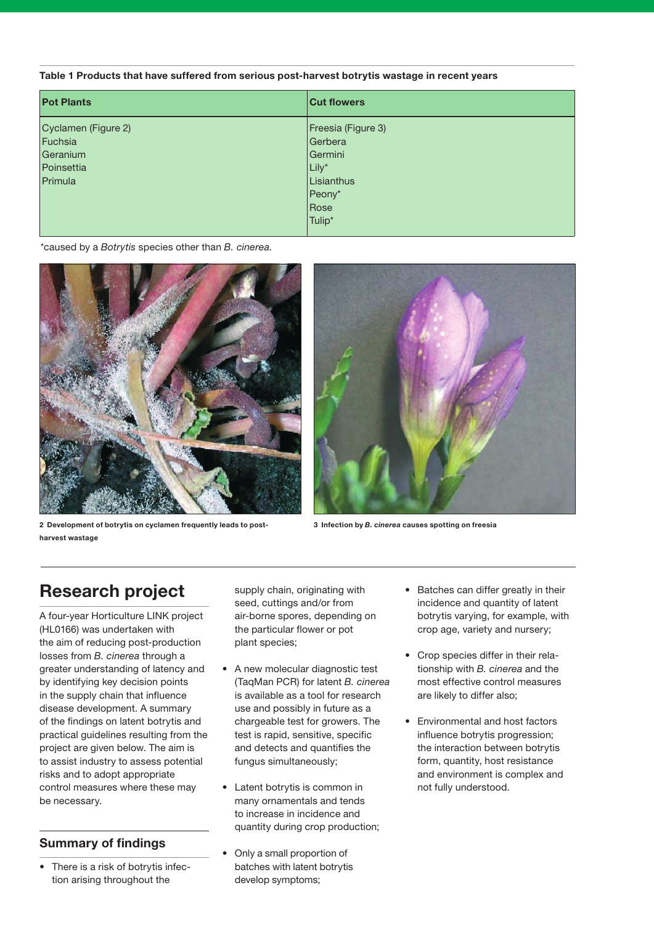**Table 1 Products that have suffered from serious post-harvest botrytis wastage in recent years**

| <b>Pot Plants</b>   | <b>Cut flowers</b> |
|---------------------|--------------------|
| Cyclamen (Figure 2) | Freesia (Figure 3) |
| Fuchsia             | Gerbera            |
| Geranium            | Germini            |
| Poinsettia          | Lily*              |
| Primula             | Lisianthus         |
|                     | Peony*             |
|                     | Rose               |
|                     | Tulip*             |
|                     |                    |

\*caused by a *Botrytis* species other than *B. cinerea.*



**2 Development of botrytis on cyclamen frequently leads to post- 3 Infection by** *B. cinerea* **causes spotting on freesia harvest wastage**

### **Research project**

A four-year Horticulture LINK project (HL0166) was undertaken with the aim of reducing post-production losses from *B. cinerea* through a greater understanding of latency and by identifying key decision points in the supply chain that influence disease development. A summary of the findings on latent botrytis and practical guidelines resulting from the project are given below. The aim is to assist industry to assess potential risks and to adopt appropriate control measures where these may be necessary.

#### **Summary of findings**

There is a risk of botrytis infection arising throughout the

supply chain, originating with seed, cuttings and/or from air-borne spores, depending on the particular flower or pot plant species;

- A new molecular diagnostic test (TaqMan PCR) for latent *B. cinerea* is available as a tool for research use and possibly in future as a chargeable test for growers. The test is rapid, sensitive, specific and detects and quantifies the fungus simultaneously;
- Latent botrytis is common in many ornamentals and tends to increase in incidence and quantity during crop production;
- Only a small proportion of batches with latent botrytis develop symptoms;
- Batches can differ greatly in their incidence and quantity of latent botrytis varying, for example, with crop age, variety and nursery;
- Crop species differ in their relationship with *B. cinerea* and the most effective control measures are likely to differ also;
- Environmental and host factors influence botrytis progression; the interaction between botrytis form, quantity, host resistance and environment is complex and not fully understood.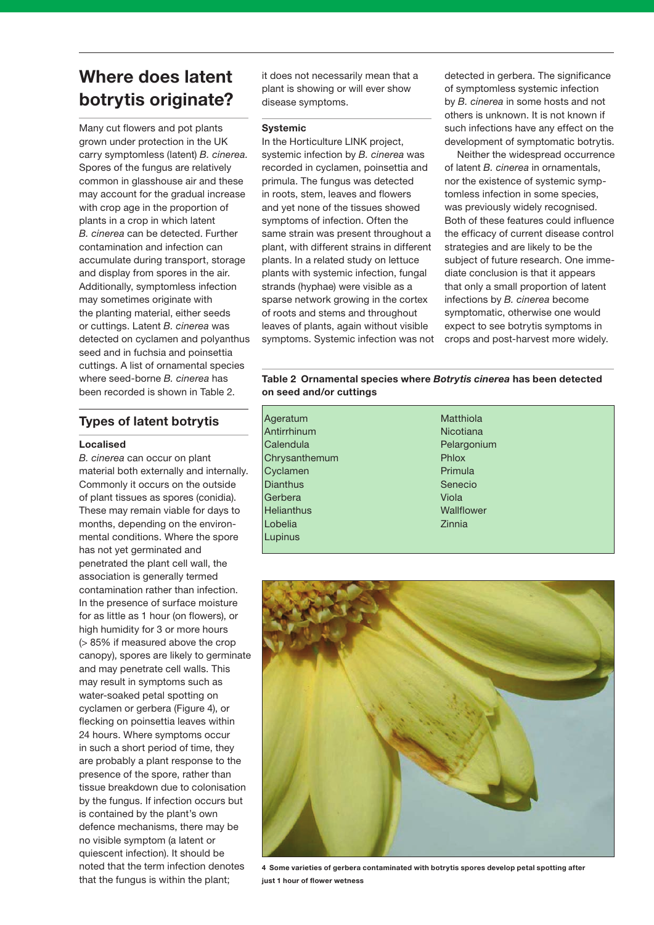## **Where does latent botrytis originate?**

Many cut flowers and pot plants grown under protection in the UK carry symptomless (latent) *B. cinerea.* Spores of the fungus are relatively common in glasshouse air and these may account for the gradual increase with crop age in the proportion of plants in a crop in which latent *B. cinerea* can be detected. Further contamination and infection can accumulate during transport, storage and display from spores in the air. Additionally, symptomless infection may sometimes originate with the planting material, either seeds or cuttings. Latent *B. cinerea* was detected on cyclamen and polyanthus seed and in fuchsia and poinsettia cuttings. A list of ornamental species where seed-borne *B. cinerea* has been recorded is shown in Table 2.

#### **Types of latent botrytis**

#### **Localised**

*B. cinerea* can occur on plant material both externally and internally. Commonly it occurs on the outside of plant tissues as spores (conidia). These may remain viable for days to months, depending on the environmental conditions. Where the spore has not yet germinated and penetrated the plant cell wall, the association is generally termed contamination rather than infection. In the presence of surface moisture for as little as 1 hour (on flowers), or high humidity for 3 or more hours (> 85% if measured above the crop canopy), spores are likely to germinate and may penetrate cell walls. This may result in symptoms such as water-soaked petal spotting on cyclamen or gerbera (Figure 4), or flecking on poinsettia leaves within 24 hours. Where symptoms occur in such a short period of time, they are probably a plant response to the presence of the spore, rather than tissue breakdown due to colonisation by the fungus. If infection occurs but is contained by the plant's own defence mechanisms, there may be no visible symptom (a latent or quiescent infection). It should be noted that the term infection denotes that the fungus is within the plant;

it does not necessarily mean that a plant is showing or will ever show disease symptoms.

#### **Systemic**

In the Horticulture LINK project, systemic infection by *B. cinerea* was recorded in cyclamen, poinsettia and primula. The fungus was detected in roots, stem, leaves and flowers and yet none of the tissues showed symptoms of infection. Often the same strain was present throughout a plant, with different strains in different plants. In a related study on lettuce plants with systemic infection, fungal strands (hyphae) were visible as a sparse network growing in the cortex of roots and stems and throughout leaves of plants, again without visible symptoms. Systemic infection was not detected in gerbera. The significance of symptomless systemic infection by *B. cinerea* in some hosts and not others is unknown. It is not known if such infections have any effect on the development of symptomatic botrytis.

Neither the widespread occurrence of latent *B. cinerea* in ornamentals, nor the existence of systemic symptomless infection in some species, was previously widely recognised. Both of these features could influence the efficacy of current disease control strategies and are likely to be the subject of future research. One immediate conclusion is that it appears that only a small proportion of latent infections by *B. cinerea* become symptomatic, otherwise one would expect to see botrytis symptoms in crops and post-harvest more widely.

**Table 2 Ornamental species where** *Botrytis cinerea* **has been detected on seed and/or cuttings**

| Ageratum          | Matthiola        |
|-------------------|------------------|
| Antirrhinum       | <b>Nicotiana</b> |
| Calendula         | Pelargonium      |
| Chrysanthemum     | Phlox            |
| Cyclamen          | Primula          |
| <b>Dianthus</b>   | Senecio          |
| Gerbera           | Viola            |
| <b>Helianthus</b> | Wallflower       |
| Lobelia           | Zinnia           |
| Lupinus           |                  |
|                   |                  |



**4 Some varieties of gerbera contaminated with botrytis spores develop petal spotting after just 1 hour of flower wetness**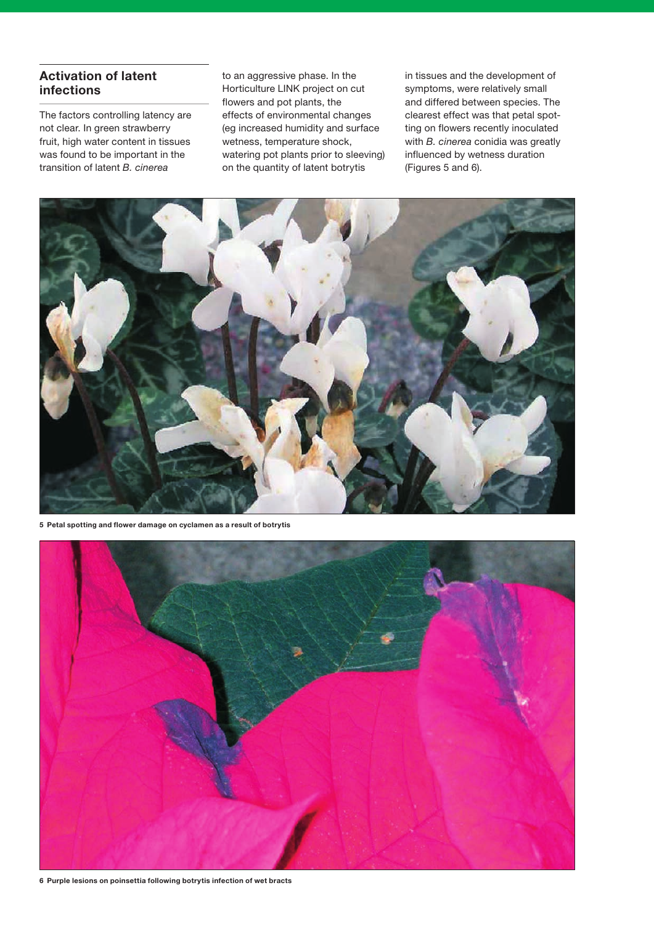#### **Activation of latent infections**

The factors controlling latency are not clear. In green strawberry fruit, high water content in tissues was found to be important in the transition of latent *B. cinerea*

to an aggressive phase. In the Horticulture LINK project on cut flowers and pot plants, the effects of environmental changes (eg increased humidity and surface wetness, temperature shock, watering pot plants prior to sleeving) on the quantity of latent botrytis

in tissues and the development of symptoms, were relatively small and differed between species. The clearest effect was that petal spotting on flowers recently inoculated with *B. cinerea* conidia was greatly influenced by wetness duration (Figures 5 and 6).



**5 Petal spotting and flower damage on cyclamen as a result of botrytis**



**6 Purple lesions on poinsettia following botrytis infection of wet bracts**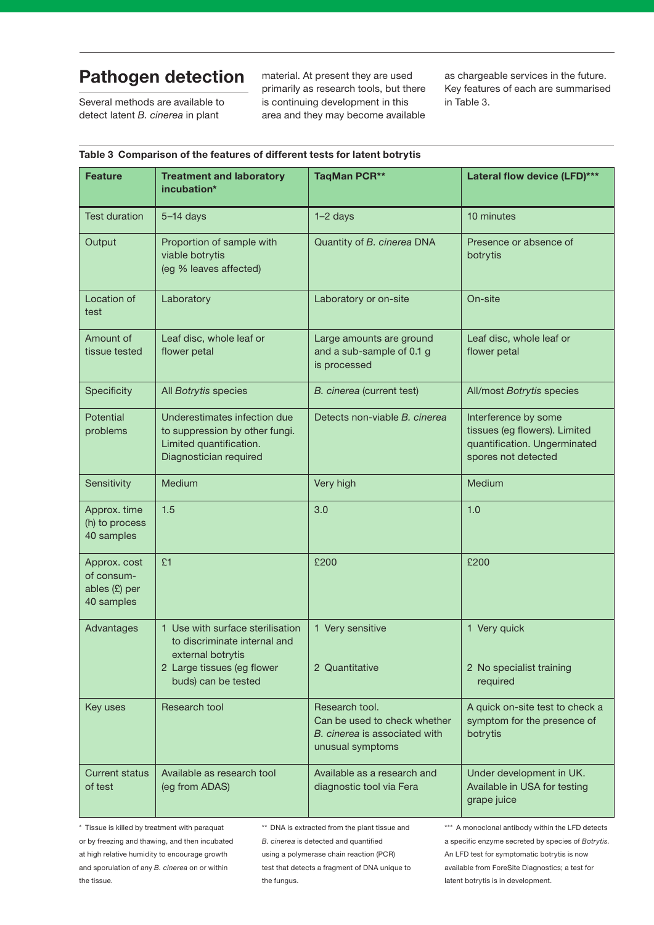### **Pathogen detection**

Several methods are available to detect latent *B. cinerea* in plant

material. At present they are used primarily as research tools, but there is continuing development in this area and they may become available

as chargeable services in the future. Key features of each are summarised in Table 3.

| <b>Feature</b>                                            | <b>Treatment and laboratory</b>                                                                                                            | <b>TaqMan PCR**</b>                                                                                 | Lateral flow device (LFD)***                                                                                 |  |
|-----------------------------------------------------------|--------------------------------------------------------------------------------------------------------------------------------------------|-----------------------------------------------------------------------------------------------------|--------------------------------------------------------------------------------------------------------------|--|
|                                                           | incubation*                                                                                                                                |                                                                                                     |                                                                                                              |  |
| Test duration                                             | $5-14$ days                                                                                                                                | $1-2$ days                                                                                          | 10 minutes                                                                                                   |  |
| Output                                                    | Proportion of sample with<br>viable botrytis<br>(eg % leaves affected)                                                                     | Quantity of B. cinerea DNA                                                                          | Presence or absence of<br>botrytis                                                                           |  |
| Location of<br>test                                       | Laboratory                                                                                                                                 | Laboratory or on-site                                                                               | On-site                                                                                                      |  |
| Amount of<br>tissue tested                                | Leaf disc, whole leaf or<br>flower petal                                                                                                   | Large amounts are ground<br>and a sub-sample of 0.1 g<br>is processed                               | Leaf disc, whole leaf or<br>flower petal                                                                     |  |
| Specificity                                               | All Botrytis species                                                                                                                       | B. cinerea (current test)                                                                           | All/most Botrytis species                                                                                    |  |
| Potential<br>problems                                     | Underestimates infection due<br>to suppression by other fungi.<br>Limited quantification.<br>Diagnostician required                        | Detects non-viable B, cinerea                                                                       | Interference by some<br>tissues (eg flowers). Limited<br>quantification. Ungerminated<br>spores not detected |  |
| Sensitivity                                               | Medium                                                                                                                                     | Very high                                                                                           | Medium                                                                                                       |  |
| Approx. time<br>(h) to process<br>40 samples              | 1.5                                                                                                                                        | 3.0                                                                                                 | 1.0                                                                                                          |  |
| Approx. cost<br>of consum-<br>ables (£) per<br>40 samples | £1                                                                                                                                         | £200                                                                                                | £200                                                                                                         |  |
| Advantages                                                | 1 Use with surface sterilisation<br>to discriminate internal and<br>external botrytis<br>2 Large tissues (eg flower<br>buds) can be tested | 1 Very sensitive<br>2 Quantitative                                                                  | 1 Very quick<br>2 No specialist training<br>required                                                         |  |
| Key uses                                                  | Research tool                                                                                                                              | Research tool.<br>Can be used to check whether<br>B. cinerea is associated with<br>unusual symptoms | A quick on-site test to check a<br>symptom for the presence of<br>botrytis                                   |  |
| <b>Current status</b><br>of test                          | Available as research tool<br>(eg from ADAS)                                                                                               | Available as a research and<br>diagnostic tool via Fera                                             | Under development in UK.<br>Available in USA for testing<br>grape juice                                      |  |

#### **Table 3 Comparison of the features of different tests for latent botrytis**

\* Tissue is killed by treatment with paraquat or by freezing and thawing, and then incubated at high relative humidity to encourage growth and sporulation of any *B. cinerea* on or within the tissue.

\*\* DNA is extracted from the plant tissue and

*B. cinerea* is detected and quantified using a polymerase chain reaction (PCR) test that detects a fragment of DNA unique to the fungus.

\*\*\* A monoclonal antibody within the LFD detects a specific enzyme secreted by species of *Botrytis.*  An LFD test for symptomatic botrytis is now available from ForeSite Diagnostics; a test for latent botrytis is in development.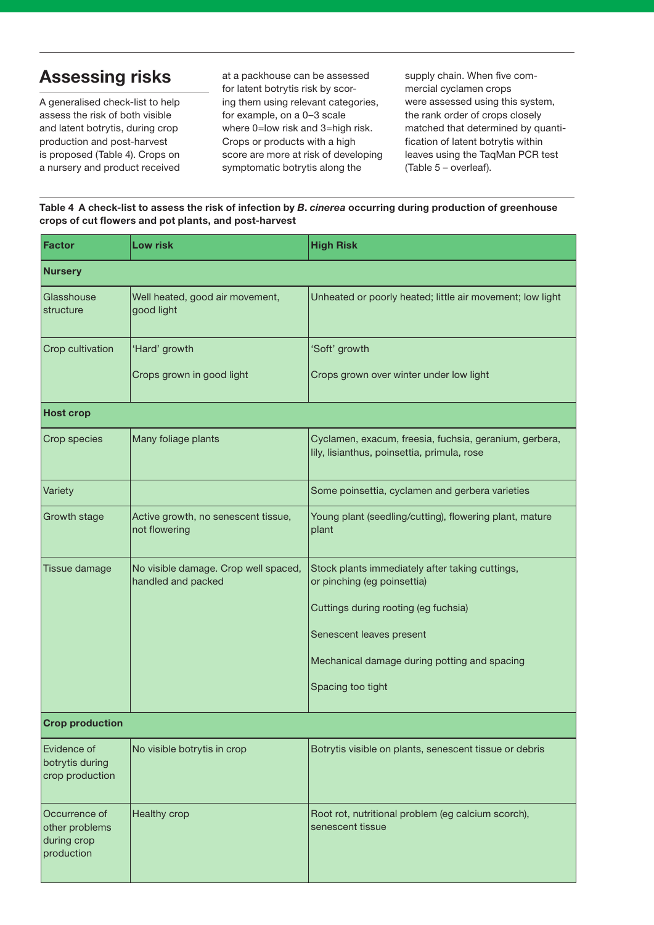## **Assessing risks**

A generalised check-list to help assess the risk of both visible and latent botrytis, during crop production and post-harvest is proposed (Table 4). Crops on a nursery and product received at a packhouse can be assessed for latent botrytis risk by scoring them using relevant categories, for example, on a 0–3 scale where 0=low risk and 3=high risk. Crops or products with a high score are more at risk of developing symptomatic botrytis along the

supply chain. When five commercial cyclamen crops were assessed using this system, the rank order of crops closely matched that determined by quantification of latent botrytis within leaves using the TaqMan PCR test (Table 5 – overleaf).

#### **Table 4 A check-list to assess the risk of infection by** *B***.** *cinerea* **occurring during production of greenhouse crops of cut flowers and pot plants, and post-harvest**

| Factor                                                       | Low risk                                                   | <b>High Risk</b>                                                                                                                                                                                                        |  |  |  |
|--------------------------------------------------------------|------------------------------------------------------------|-------------------------------------------------------------------------------------------------------------------------------------------------------------------------------------------------------------------------|--|--|--|
| <b>Nursery</b>                                               |                                                            |                                                                                                                                                                                                                         |  |  |  |
| Glasshouse<br>structure                                      | Well heated, good air movement,<br>good light              | Unheated or poorly heated; little air movement; low light                                                                                                                                                               |  |  |  |
| Crop cultivation                                             | 'Hard' growth                                              | 'Soft' growth                                                                                                                                                                                                           |  |  |  |
|                                                              | Crops grown in good light                                  | Crops grown over winter under low light                                                                                                                                                                                 |  |  |  |
| <b>Host crop</b>                                             |                                                            |                                                                                                                                                                                                                         |  |  |  |
| Crop species                                                 | Many foliage plants                                        | Cyclamen, exacum, freesia, fuchsia, geranium, gerbera,<br>lily, lisianthus, poinsettia, primula, rose                                                                                                                   |  |  |  |
| Variety                                                      |                                                            | Some poinsettia, cyclamen and gerbera varieties                                                                                                                                                                         |  |  |  |
| Growth stage                                                 | Active growth, no senescent tissue,<br>not flowering       | Young plant (seedling/cutting), flowering plant, mature<br>plant                                                                                                                                                        |  |  |  |
| Tissue damage                                                | No visible damage. Crop well spaced,<br>handled and packed | Stock plants immediately after taking cuttings,<br>or pinching (eg poinsettia)<br>Cuttings during rooting (eg fuchsia)<br>Senescent leaves present<br>Mechanical damage during potting and spacing<br>Spacing too tight |  |  |  |
| <b>Crop production</b>                                       |                                                            |                                                                                                                                                                                                                         |  |  |  |
| Evidence of<br>botrytis during<br>crop production            | No visible botrytis in crop                                | Botrytis visible on plants, senescent tissue or debris                                                                                                                                                                  |  |  |  |
| Occurrence of<br>other problems<br>during crop<br>production | Healthy crop                                               | Root rot, nutritional problem (eg calcium scorch),<br>senescent tissue                                                                                                                                                  |  |  |  |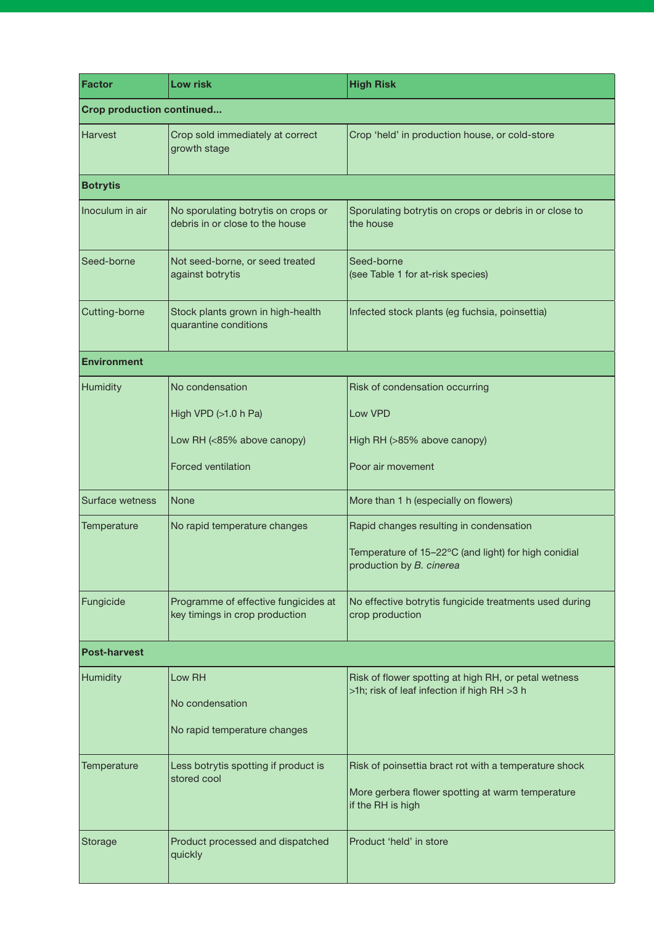| <b>Factor</b>                    | <b>Low risk</b>                                                        | <b>High Risk</b>                                                                                    |  |  |  |
|----------------------------------|------------------------------------------------------------------------|-----------------------------------------------------------------------------------------------------|--|--|--|
| <b>Crop production continued</b> |                                                                        |                                                                                                     |  |  |  |
| <b>Harvest</b>                   | Crop sold immediately at correct<br>growth stage                       | Crop 'held' in production house, or cold-store                                                      |  |  |  |
| <b>Botrytis</b>                  |                                                                        |                                                                                                     |  |  |  |
| Inoculum in air                  | No sporulating botrytis on crops or<br>debris in or close to the house | Sporulating botrytis on crops or debris in or close to<br>the house                                 |  |  |  |
| Seed-borne                       | Not seed-borne, or seed treated<br>against botrytis                    | Seed-borne<br>(see Table 1 for at-risk species)                                                     |  |  |  |
| Cutting-borne                    | Stock plants grown in high-health<br>quarantine conditions             | Infected stock plants (eg fuchsia, poinsettia)                                                      |  |  |  |
| <b>Environment</b>               |                                                                        |                                                                                                     |  |  |  |
| Humidity                         | No condensation                                                        | Risk of condensation occurring                                                                      |  |  |  |
|                                  | High VPD $(>1.0 h Pa)$                                                 | Low VPD                                                                                             |  |  |  |
|                                  | Low RH (<85% above canopy)                                             | High RH (>85% above canopy)                                                                         |  |  |  |
|                                  | <b>Forced ventilation</b>                                              | Poor air movement                                                                                   |  |  |  |
| Surface wetness                  | None                                                                   | More than 1 h (especially on flowers)                                                               |  |  |  |
| Temperature                      | No rapid temperature changes                                           | Rapid changes resulting in condensation                                                             |  |  |  |
|                                  |                                                                        | Temperature of 15-22°C (and light) for high conidial<br>production by B. cinerea                    |  |  |  |
| Fungicide                        | Programme of effective fungicides at<br>key timings in crop production | No effective botrytis fungicide treatments used during<br>crop production                           |  |  |  |
| <b>Post-harvest</b>              |                                                                        |                                                                                                     |  |  |  |
| Humidity                         | Low RH                                                                 | Risk of flower spotting at high RH, or petal wetness<br>>1h; risk of leaf infection if high RH >3 h |  |  |  |
|                                  | No condensation                                                        |                                                                                                     |  |  |  |
|                                  | No rapid temperature changes                                           |                                                                                                     |  |  |  |
| Temperature                      | Less botrytis spotting if product is<br>stored cool                    | Risk of poinsettia bract rot with a temperature shock                                               |  |  |  |
|                                  |                                                                        | More gerbera flower spotting at warm temperature<br>if the RH is high                               |  |  |  |
| Storage                          | Product processed and dispatched<br>quickly                            | Product 'held' in store                                                                             |  |  |  |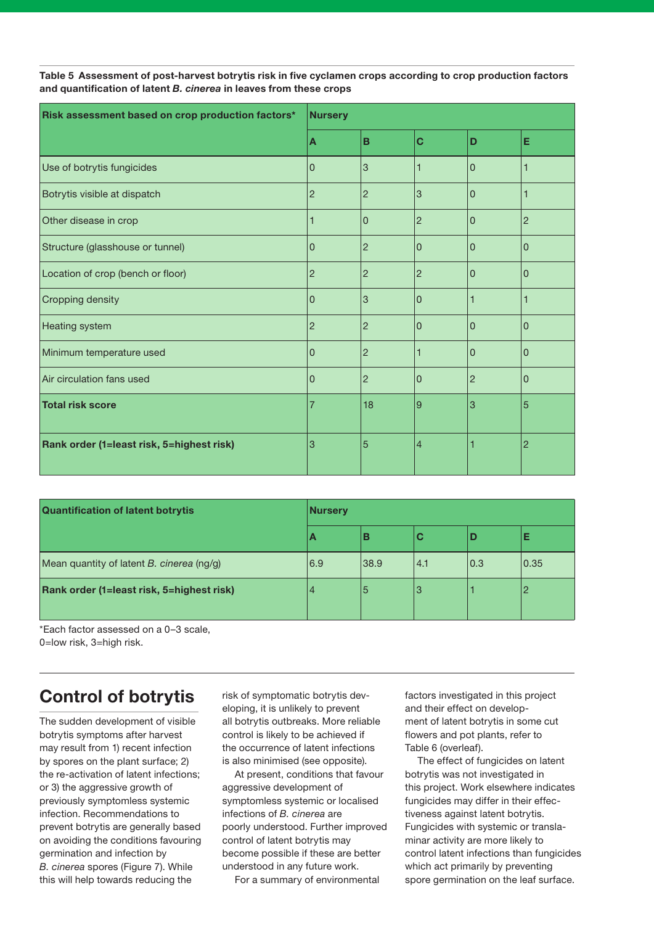**Table 5 Assessment of post-harvest botrytis risk in five cyclamen crops according to crop production factors and quantification of latent** *B. cinerea* **in leaves from these crops**

| Risk assessment based on crop production factors* | <b>Nursery</b> |                |                |                |                |
|---------------------------------------------------|----------------|----------------|----------------|----------------|----------------|
|                                                   | A              | B              | C              | D              | Е              |
| Use of botrytis fungicides                        | 0              | 3              |                | $\Omega$       |                |
| Botrytis visible at dispatch                      | $\overline{c}$ | $\overline{2}$ | 3              | $\Omega$       | 1              |
| Other disease in crop                             | 1              | $\Omega$       | $\overline{c}$ | $\Omega$       | $\overline{c}$ |
| Structure (glasshouse or tunnel)                  | 0              | $\overline{2}$ | $\Omega$       | 0              | $\Omega$       |
| Location of crop (bench or floor)                 | $\overline{2}$ | $\overline{2}$ | $\overline{2}$ | $\Omega$       | $\overline{0}$ |
| <b>Cropping density</b>                           | $\Omega$       | 3              | $\Omega$       | 1              | 1              |
| <b>Heating system</b>                             | $\overline{2}$ | $\overline{2}$ | $\Omega$       | 0              | $\Omega$       |
| Minimum temperature used                          | 0              | $\overline{2}$ | 1              | $\Omega$       | $\overline{0}$ |
| Air circulation fans used                         | $\Omega$       | $\overline{2}$ | $\Omega$       | $\overline{2}$ | $\overline{0}$ |
| <b>Total risk score</b>                           | 7              | 18             | 9              | 3              | 5              |
| Rank order (1=least risk, 5=highest risk)         | 3              | 5              | $\overline{4}$ | Ħ              | 2              |

| <b>Quantification of latent botrytis</b>  | <b>Nursery</b> |      |     |     |      |
|-------------------------------------------|----------------|------|-----|-----|------|
|                                           | IA.            | B    | C   | D   | Е    |
| Mean quantity of latent B. cinerea (ng/g) | 6.9            | 38.9 | 4.1 | 0.3 | 0.35 |
| Rank order (1=least risk, 5=highest risk) | 4              | 5    | 3   |     |      |

\*Each factor assessed on a 0–3 scale, \*Each factor assessed<br>0=low risk, 3=high risk.

### **Control of botrytis**

The sudden development of visible botrytis symptoms after harvest may result from 1) recent infection by spores on the plant surface; 2) the re-activation of latent infections; or 3) the aggressive growth of previously symptomless systemic infection. Recommendations to prevent botrytis are generally based on avoiding the conditions favouring germination and infection by *B. cinerea* spores (Figure 7). While this will help towards reducing the

risk of symptomatic botrytis developing, it is unlikely to prevent all botrytis outbreaks. More reliable control is likely to be achieved if the occurrence of latent infections is also minimised (see opposite).

At present, conditions that favour aggressive development of symptomless systemic or localised infections of *B. cinerea* are poorly understood. Further improved control of latent botrytis may become possible if these are better understood in any future work.

For a summary of environmental

factors investigated in this project and their effect on development of latent botrytis in some cut flowers and pot plants, refer to Table 6 (overleaf).

The effect of fungicides on latent botrytis was not investigated in this project. Work elsewhere indicates fungicides may differ in their effectiveness against latent botrytis. Fungicides with systemic or translaminar activity are more likely to control latent infections than fungicides which act primarily by preventing spore germination on the leaf surface.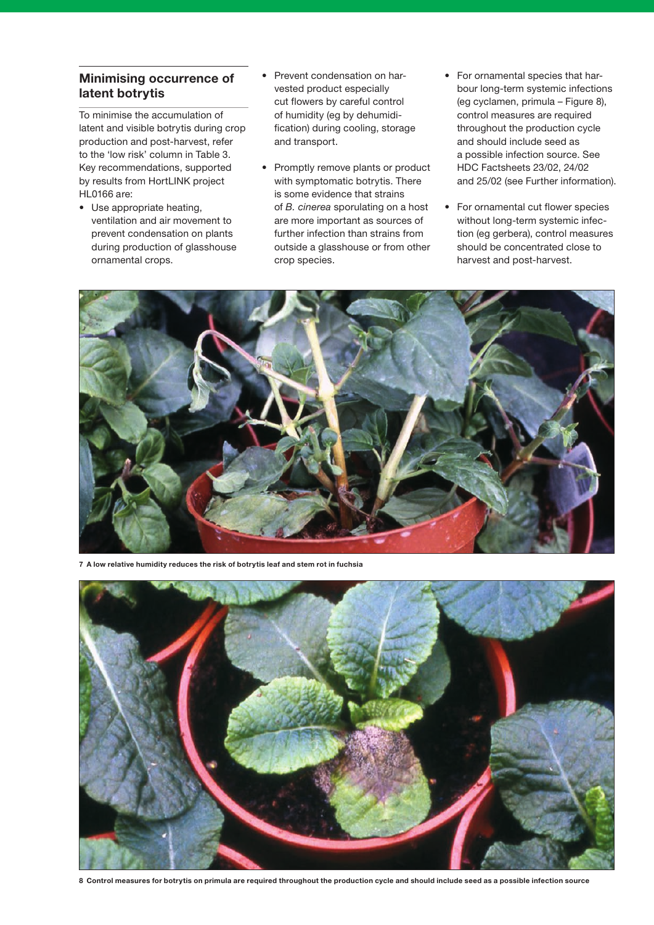#### **Minimising occurrence of latent botrytis**

To minimise the accumulation of latent and visible botrytis during crop production and post-harvest, refer to the 'low risk' column in Table 3. Key recommendations, supported by results from HortLINK project HL0166 are:

- Use appropriate heating, ventilation and air movement to prevent condensation on plants during production of glasshouse ornamental crops.
- Prevent condensation on harvested product especially cut flowers by careful control of humidity (eg by dehumidification) during cooling, storage and transport.
- Promptly remove plants or product with symptomatic botrytis. There is some evidence that strains of *B. cinerea* sporulating on a host are more important as sources of further infection than strains from outside a glasshouse or from other crop species.
- For ornamental species that harbour long-term systemic infections (eg cyclamen, primula – Figure 8), control measures are required throughout the production cycle and should include seed as a possible infection source. See HDC Factsheets 23/02, 24/02 and 25/02 (see Further information).
- For ornamental cut flower species without long-term systemic infection (eg gerbera), control measures should be concentrated close to harvest and post-harvest.



**7 A low relative humidity reduces the risk of botrytis leaf and stem rot in fuchsia**



**8 Control measures for botrytis on primula are required throughout the production cycle and should include seed as a possible infection source**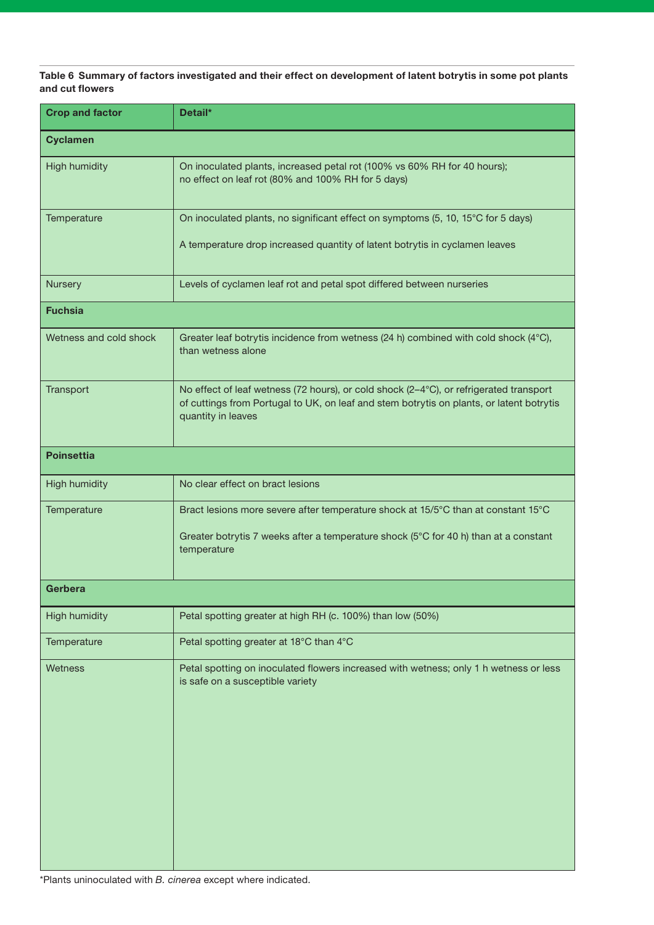**Table 6 Summary of factors investigated and their effect on development of latent botrytis in some pot plants and cut flowers**

| <b>Crop and factor</b> | Detail*                                                                                                                                                                                                  |
|------------------------|----------------------------------------------------------------------------------------------------------------------------------------------------------------------------------------------------------|
| <b>Cyclamen</b>        |                                                                                                                                                                                                          |
| <b>High humidity</b>   | On inoculated plants, increased petal rot (100% vs 60% RH for 40 hours);<br>no effect on leaf rot (80% and 100% RH for 5 days)                                                                           |
| Temperature            | On inoculated plants, no significant effect on symptoms (5, 10, 15°C for 5 days)                                                                                                                         |
|                        | A temperature drop increased quantity of latent botrytis in cyclamen leaves                                                                                                                              |
| <b>Nursery</b>         | Levels of cyclamen leaf rot and petal spot differed between nurseries                                                                                                                                    |
| <b>Fuchsia</b>         |                                                                                                                                                                                                          |
| Wetness and cold shock | Greater leaf botrytis incidence from wetness (24 h) combined with cold shock ( $4^{\circ}$ C),<br>than wetness alone                                                                                     |
| Transport              | No effect of leaf wetness (72 hours), or cold shock (2-4°C), or refrigerated transport<br>of cuttings from Portugal to UK, on leaf and stem botrytis on plants, or latent botrytis<br>quantity in leaves |
| <b>Poinsettia</b>      |                                                                                                                                                                                                          |
| <b>High humidity</b>   | No clear effect on bract lesions                                                                                                                                                                         |
| Temperature            | Bract lesions more severe after temperature shock at 15/5°C than at constant 15°C                                                                                                                        |
|                        | Greater botrytis 7 weeks after a temperature shock (5°C for 40 h) than at a constant<br>temperature                                                                                                      |
| Gerbera                |                                                                                                                                                                                                          |
| <b>High humidity</b>   | Petal spotting greater at high RH (c. 100%) than low (50%)                                                                                                                                               |
| Temperature            | Petal spotting greater at 18°C than 4°C                                                                                                                                                                  |
| Wetness                | Petal spotting on inoculated flowers increased with wetness; only 1 h wetness or less<br>is safe on a susceptible variety                                                                                |

\*Plants uninoculated with *B. cinerea* except where indicated.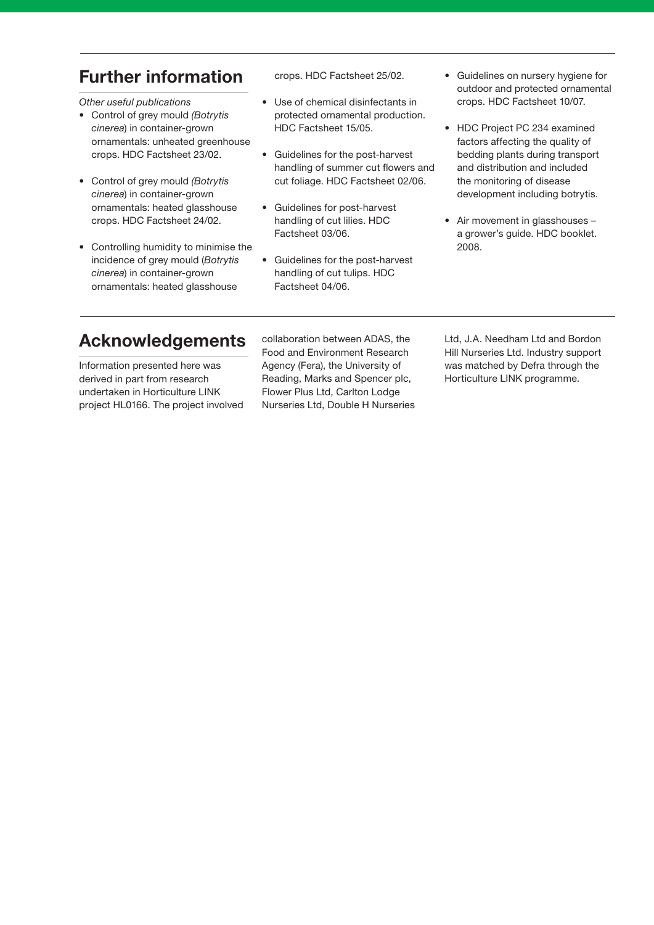### **Further information**

*Other useful publications*

- • Control of grey mould *(Botrytis cinerea*) in container-grown ornamentals: unheated greenhouse crops. HDC Factsheet 23/02.
- • Control of grey mould *(Botrytis cinerea*) in container-grown ornamentals: heated glasshouse crops. HDC Factsheet 24/02.
- • Controlling humidity to minimise the incidence of grey mould (*Botrytis cinerea*) in container-grown ornamentals: heated glasshouse

crops. HDC Factsheet 25/02.

- • Use of chemical disinfectants in protected ornamental production. HDC Factsheet 15/05.
- Guidelines for the post-harvest handling of summer cut flowers and cut foliage. HDC Factsheet 02/06.
- Guidelines for post-harvest handling of cut lilies. HDC Factsheet 03/06.
- • Guidelines for the post-harvest handling of cut tulips. HDC Factsheet 04/06.
- Guidelines on nursery hygiene for outdoor and protected ornamental crops. HDC Factsheet 10/07.
- HDC Project PC 234 examined factors affecting the quality of bedding plants during transport and distribution and included the monitoring of disease development including botrytis.
- Air movement in glasshouses a grower's guide. HDC booklet. 2008.

# **Acknowledgements**

Information presented here was derived in part from research undertaken in Horticulture LINK project HL0166. The project involved collaboration between ADAS, the Food and Environment Research Agency (Fera), the University of Reading, Marks and Spencer plc, Flower Plus Ltd, Carlton Lodge Nurseries Ltd, Double H Nurseries

Ltd, J.A. Needham Ltd and Bordon Hill Nurseries Ltd. Industry support was matched by Defra through the Horticulture LINK programme.